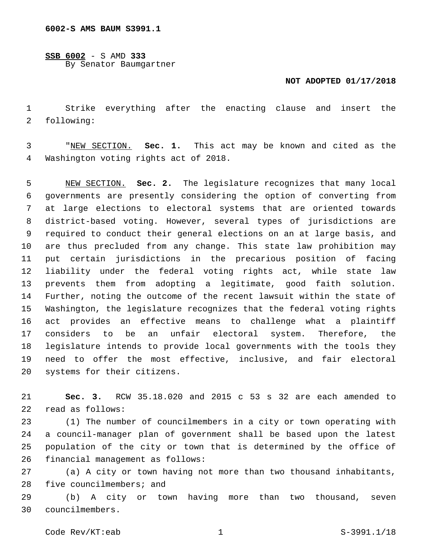**SSB 6002** - S AMD **333** By Senator Baumgartner

## **NOT ADOPTED 01/17/2018**

 Strike everything after the enacting clause and insert the 2 following:

 "NEW SECTION. **Sec. 1.** This act may be known and cited as the Washington voting rights act of 2018.

 NEW SECTION. **Sec. 2.** The legislature recognizes that many local governments are presently considering the option of converting from at large elections to electoral systems that are oriented towards district-based voting. However, several types of jurisdictions are required to conduct their general elections on an at large basis, and are thus precluded from any change. This state law prohibition may put certain jurisdictions in the precarious position of facing liability under the federal voting rights act, while state law prevents them from adopting a legitimate, good faith solution. Further, noting the outcome of the recent lawsuit within the state of Washington, the legislature recognizes that the federal voting rights act provides an effective means to challenge what a plaintiff considers to be an unfair electoral system. Therefore, the legislature intends to provide local governments with the tools they need to offer the most effective, inclusive, and fair electoral systems for their citizens.

 **Sec. 3.** RCW 35.18.020 and 2015 c 53 s 32 are each amended to 22 read as follows:

 (1) The number of councilmembers in a city or town operating with a council-manager plan of government shall be based upon the latest population of the city or town that is determined by the office of 26 financial management as follows:

 (a) A city or town having not more than two thousand inhabitants, five councilmembers; and

 (b) A city or town having more than two thousand, seven councilmembers.30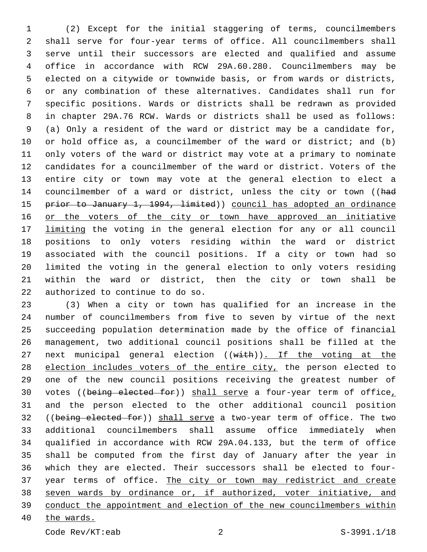(2) Except for the initial staggering of terms, councilmembers shall serve for four-year terms of office. All councilmembers shall serve until their successors are elected and qualified and assume office in accordance with RCW 29A.60.280. Councilmembers may be elected on a citywide or townwide basis, or from wards or districts, or any combination of these alternatives. Candidates shall run for specific positions. Wards or districts shall be redrawn as provided in chapter 29A.76 RCW. Wards or districts shall be used as follows: (a) Only a resident of the ward or district may be a candidate for, or hold office as, a councilmember of the ward or district; and (b) only voters of the ward or district may vote at a primary to nominate candidates for a councilmember of the ward or district. Voters of the entire city or town may vote at the general election to elect a 14 councilmember of a ward or district, unless the city or town ((had 15 prior to January 1, 1994, limited)) council has adopted an ordinance 16 or the voters of the city or town have approved an initiative 17 limiting the voting in the general election for any or all council positions to only voters residing within the ward or district associated with the council positions. If a city or town had so limited the voting in the general election to only voters residing within the ward or district, then the city or town shall be 22 authorized to continue to do so.

 (3) When a city or town has qualified for an increase in the number of councilmembers from five to seven by virtue of the next succeeding population determination made by the office of financial management, two additional council positions shall be filled at the 27 next municipal general election ((with)). If the voting at the 28 election includes voters of the entire city, the person elected to one of the new council positions receiving the greatest number of 30 votes ((being elected for)) shall serve a four-year term of office, and the person elected to the other additional council position 32 ((being elected for)) shall serve a two-year term of office. The two additional councilmembers shall assume office immediately when qualified in accordance with RCW 29A.04.133, but the term of office shall be computed from the first day of January after the year in which they are elected. Their successors shall be elected to four- year terms of office. The city or town may redistrict and create seven wards by ordinance or, if authorized, voter initiative, and conduct the appointment and election of the new councilmembers within the wards.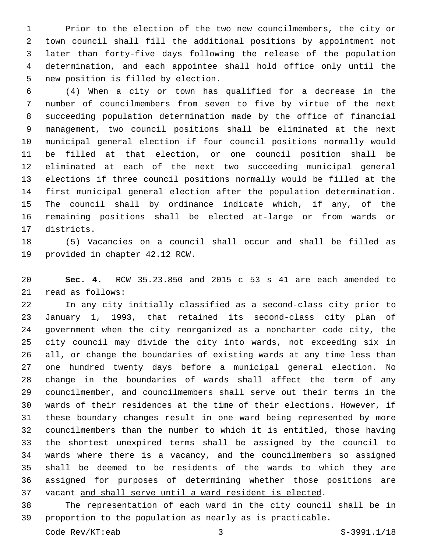Prior to the election of the two new councilmembers, the city or town council shall fill the additional positions by appointment not later than forty-five days following the release of the population determination, and each appointee shall hold office only until the 5 new position is filled by election.

 (4) When a city or town has qualified for a decrease in the number of councilmembers from seven to five by virtue of the next succeeding population determination made by the office of financial management, two council positions shall be eliminated at the next municipal general election if four council positions normally would be filled at that election, or one council position shall be eliminated at each of the next two succeeding municipal general elections if three council positions normally would be filled at the first municipal general election after the population determination. The council shall by ordinance indicate which, if any, of the remaining positions shall be elected at-large or from wards or 17 districts.

 (5) Vacancies on a council shall occur and shall be filled as 19 provided in chapter 42.12 RCW.

 **Sec. 4.** RCW 35.23.850 and 2015 c 53 s 41 are each amended to 21 read as follows:

 In any city initially classified as a second-class city prior to January 1, 1993, that retained its second-class city plan of government when the city reorganized as a noncharter code city, the city council may divide the city into wards, not exceeding six in all, or change the boundaries of existing wards at any time less than one hundred twenty days before a municipal general election. No change in the boundaries of wards shall affect the term of any councilmember, and councilmembers shall serve out their terms in the wards of their residences at the time of their elections. However, if these boundary changes result in one ward being represented by more councilmembers than the number to which it is entitled, those having the shortest unexpired terms shall be assigned by the council to wards where there is a vacancy, and the councilmembers so assigned shall be deemed to be residents of the wards to which they are assigned for purposes of determining whether those positions are vacant and shall serve until a ward resident is elected.

 The representation of each ward in the city council shall be in proportion to the population as nearly as is practicable.

Code Rev/KT:eab 3 S-3991.1/18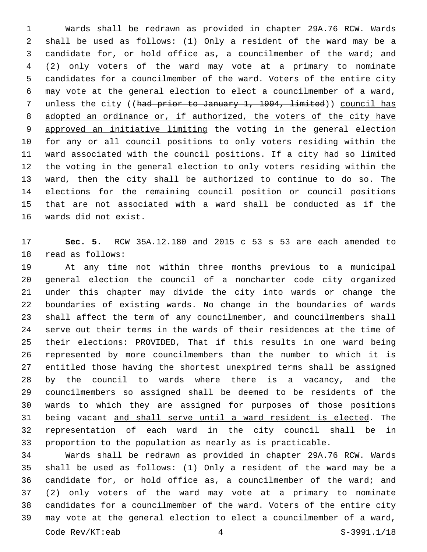Wards shall be redrawn as provided in chapter 29A.76 RCW. Wards shall be used as follows: (1) Only a resident of the ward may be a candidate for, or hold office as, a councilmember of the ward; and (2) only voters of the ward may vote at a primary to nominate candidates for a councilmember of the ward. Voters of the entire city may vote at the general election to elect a councilmember of a ward, 7 unless the city ((had prior to January 1, 1994, limited)) council has adopted an ordinance or, if authorized, the voters of the city have approved an initiative limiting the voting in the general election for any or all council positions to only voters residing within the ward associated with the council positions. If a city had so limited the voting in the general election to only voters residing within the ward, then the city shall be authorized to continue to do so. The elections for the remaining council position or council positions that are not associated with a ward shall be conducted as if the 16 wards did not exist.

 **Sec. 5.** RCW 35A.12.180 and 2015 c 53 s 53 are each amended to 18 read as follows:

 At any time not within three months previous to a municipal general election the council of a noncharter code city organized under this chapter may divide the city into wards or change the boundaries of existing wards. No change in the boundaries of wards shall affect the term of any councilmember, and councilmembers shall serve out their terms in the wards of their residences at the time of their elections: PROVIDED, That if this results in one ward being represented by more councilmembers than the number to which it is entitled those having the shortest unexpired terms shall be assigned by the council to wards where there is a vacancy, and the councilmembers so assigned shall be deemed to be residents of the wards to which they are assigned for purposes of those positions being vacant and shall serve until a ward resident is elected. The representation of each ward in the city council shall be in proportion to the population as nearly as is practicable.

 Wards shall be redrawn as provided in chapter 29A.76 RCW. Wards shall be used as follows: (1) Only a resident of the ward may be a candidate for, or hold office as, a councilmember of the ward; and (2) only voters of the ward may vote at a primary to nominate candidates for a councilmember of the ward. Voters of the entire city may vote at the general election to elect a councilmember of a ward, Code Rev/KT:eab 4 S-3991.1/18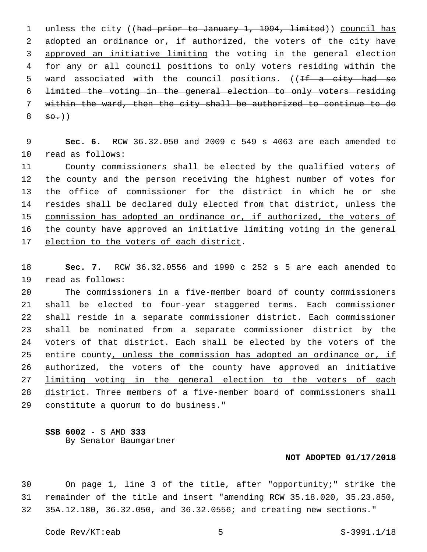1 unless the city ((had prior to January 1, 1994, limited)) council has 2 adopted an ordinance or, if authorized, the voters of the city have approved an initiative limiting the voting in the general election for any or all council positions to only voters residing within the 5 ward associated with the council positions. ((If a city had so limited the voting in the general election to only voters residing within the ward, then the city shall be authorized to continue to do  $8 \quad \frac{\text{so.}}{\text{}})$ 

 **Sec. 6.** RCW 36.32.050 and 2009 c 549 s 4063 are each amended to 10 read as follows:

 County commissioners shall be elected by the qualified voters of the county and the person receiving the highest number of votes for the office of commissioner for the district in which he or she resides shall be declared duly elected from that district, unless the commission has adopted an ordinance or, if authorized, the voters of the county have approved an initiative limiting voting in the general 17 election to the voters of each district.

 **Sec. 7.** RCW 36.32.0556 and 1990 c 252 s 5 are each amended to 19 read as follows:

 The commissioners in a five-member board of county commissioners shall be elected to four-year staggered terms. Each commissioner shall reside in a separate commissioner district. Each commissioner shall be nominated from a separate commissioner district by the voters of that district. Each shall be elected by the voters of the 25 entire county, unless the commission has adopted an ordinance or, if authorized, the voters of the county have approved an initiative limiting voting in the general election to the voters of each district. Three members of a five-member board of commissioners shall 29 constitute a quorum to do business."

## **SSB 6002** - S AMD **333** By Senator Baumgartner

## **NOT ADOPTED 01/17/2018**

 On page 1, line 3 of the title, after "opportunity;" strike the remainder of the title and insert "amending RCW 35.18.020, 35.23.850, 35A.12.180, 36.32.050, and 36.32.0556; and creating new sections."